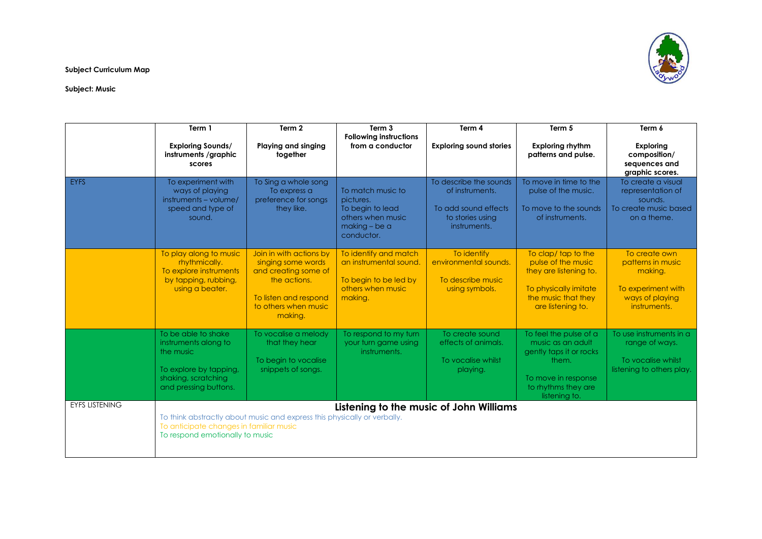

**Subject Curriculum Map**

## **Subject: Music**

|                       | Term 1                                                                                                                             | Term 2                                                                                                                                            | Term 3                                                                                                   | Term 4                                                                                                | Term 5                                                                                                                                         | Term 6                                                                                                 |
|-----------------------|------------------------------------------------------------------------------------------------------------------------------------|---------------------------------------------------------------------------------------------------------------------------------------------------|----------------------------------------------------------------------------------------------------------|-------------------------------------------------------------------------------------------------------|------------------------------------------------------------------------------------------------------------------------------------------------|--------------------------------------------------------------------------------------------------------|
|                       | <b>Exploring Sounds/</b><br>instruments /graphic<br>scores                                                                         | <b>Playing and singing</b><br>together                                                                                                            | <b>Following instructions</b><br>from a conductor                                                        | <b>Exploring sound stories</b>                                                                        | <b>Exploring rhythm</b><br>patterns and pulse.                                                                                                 | <b>Exploring</b><br>composition/<br>sequences and<br>graphic scores.                                   |
| <b>EYFS</b>           | To experiment with<br>ways of playing<br>instruments - volume/<br>speed and type of<br>sound.                                      | To Sing a whole song<br>To express a<br>preference for songs<br>they like.                                                                        | To match music to<br>pictures.<br>To begin to lead<br>others when music<br>making - be a<br>conductor.   | To describe the sounds<br>of instruments.<br>To add sound effects<br>to stories using<br>instruments. | To move in time to the<br>pulse of the music.<br>To move to the sounds<br>of instruments.                                                      | To create a visual<br>representation of<br>sounds.<br>To create music based<br>on a theme.             |
|                       | To play along to music<br>rhythmically.<br>To explore instruments<br>by tapping, rubbing,<br>using a beater.                       | Join in with actions by<br>singing some words<br>and creating some of<br>the actions.<br>To listen and respond<br>to others when music<br>making. | To identify and match<br>an instrumental sound.<br>To begin to be led by<br>others when music<br>making. | To identify<br>environmental sounds.<br>To describe music<br>using symbols.                           | To clap/tap to the<br>pulse of the music<br>they are listening to.<br>To physically imitate<br>the music that they<br>are listening to.        | To create own<br>patterns in music<br>making.<br>To experiment with<br>ways of playing<br>instruments. |
|                       | To be able to shake<br>instruments along to<br>the music<br>To explore by tapping,<br>shaking, scratching<br>and pressing buttons. | To vocalise a melody<br>that they hear<br>To begin to vocalise<br>snippets of songs.                                                              | To respond to my turn<br>your turn game using<br>instruments.                                            | To create sound<br>effects of animals.<br>To vocalise whilst<br>playing.                              | To feel the pulse of a<br>music as an adult<br>gently taps it or rocks<br>them.<br>To move in response<br>to rhythms they are<br>listening to. | To use instruments in a<br>range of ways.<br>To vocalise whilst<br>listening to others play.           |
| <b>EYFS LISTENING</b> | To anticipate changes in familiar music<br>To respond emotionally to music                                                         | To think abstractly about music and express this physically or verbally.                                                                          | Listening to the music of John Williams                                                                  |                                                                                                       |                                                                                                                                                |                                                                                                        |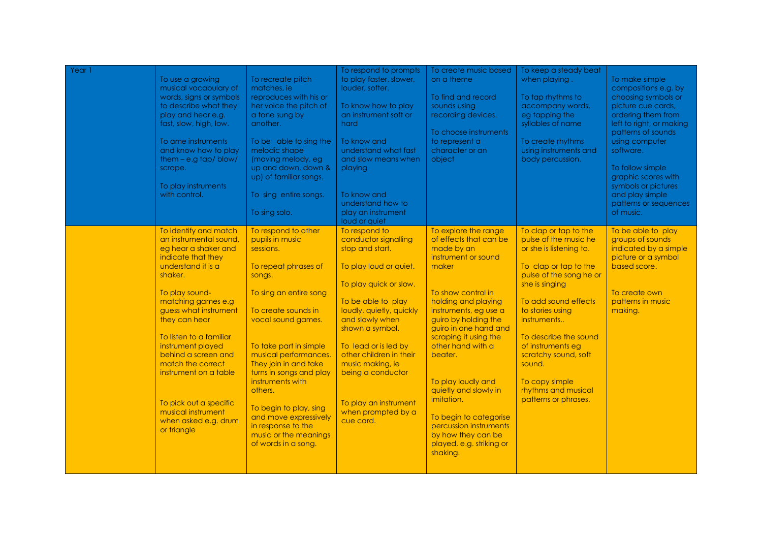| Yeari | To use a growing<br>musical vocabulary of<br>words, signs or symbols<br>to describe what they<br>play and hear e.g.<br>fast, slow, high, low.<br>To ame instruments<br>and know how to play<br>them $-$ e.g tap/blow/<br>scrape.<br>To play instruments<br>with control.<br>To identify and match<br>an instrumental sound.<br>eg hear a shaker and<br>indicate that they<br>understand it is a<br>shaker.<br>To play sound-<br>matching games e.g<br>guess what instrument<br>they can hear<br>To listen to a familiar<br>instrument played<br>behind a screen and<br>match the correct<br>instrument on a table | To recreate pitch<br>matches, ie<br>reproduces with his or<br>her voice the pitch of<br>a tone sung by<br>another.<br>To be able to sing the<br>melodic shape<br>(moving melody, eg<br>up and down, down &<br>up) of familiar songs.<br>To sing entire songs.<br>To sing solo.<br>To respond to other<br>pupils in music<br>sessions.<br>To repeat phrases of<br>songs.<br>To sing an entire song<br>To create sounds in<br>vocal sound games.<br>To take part in simple<br>musical performances.<br>They join in and take<br>turns in songs and play | To respond to prompts<br>to play faster, slower,<br>louder, softer.<br>To know how to play<br>an instrument soft or<br>hard<br>To know and<br>understand what fast<br>and slow means when<br>playing<br>To know and<br>understand how to<br>play an instrument<br>loud or quiet<br>To respond to<br>conductor signalling<br>stop and start.<br>To play loud or quiet.<br>To play quick or slow.<br>To be able to play<br>loudly, quietly, quickly<br>and slowly when<br>shown a symbol.<br>To lead or is led by<br>other children in their<br>music making, ie<br>being a conductor | To create music based<br>on a theme<br>To find and record<br>sounds using<br>recording devices.<br>To choose instruments<br>to represent a<br>character or an<br>object<br>To explore the range<br>of effects that can be<br>made by an<br>instrument or sound<br>maker<br>To show control in<br>holding and playing<br>instruments, eg use a<br>guiro by holding the<br>guiro in one hand and<br>scraping it using the<br>other hand with a<br>beater. | To keep a steady beat<br>when playing.<br>To tap rhythms to<br>accompany words,<br>eg tapping the<br>syllables of name<br>To create rhythms<br>using instruments and<br>body percussion.<br>To clap or tap to the<br>pulse of the music he<br>or she is listening to.<br>To clap or tap to the<br>pulse of the song he or<br>she is singing<br>To add sound effects<br>to stories using<br>instruments<br>To describe the sound<br>of instruments eg<br>scratchy sound, soft<br>sound. | To make simple<br>compositions e.g. by<br>choosing symbols or<br>picture cue cards,<br>ordering them from<br>left to right, or making<br>patterns of sounds<br>using computer<br>software.<br>To follow simple<br>graphic scores with<br>symbols or pictures<br>and play simple<br>patterns or sequences<br>of music.<br>To be able to play<br>groups of sounds<br>indicated by a simple<br>picture or a symbol<br>based score.<br>To create own<br>patterns in music<br>making. |
|-------|-------------------------------------------------------------------------------------------------------------------------------------------------------------------------------------------------------------------------------------------------------------------------------------------------------------------------------------------------------------------------------------------------------------------------------------------------------------------------------------------------------------------------------------------------------------------------------------------------------------------|-------------------------------------------------------------------------------------------------------------------------------------------------------------------------------------------------------------------------------------------------------------------------------------------------------------------------------------------------------------------------------------------------------------------------------------------------------------------------------------------------------------------------------------------------------|-------------------------------------------------------------------------------------------------------------------------------------------------------------------------------------------------------------------------------------------------------------------------------------------------------------------------------------------------------------------------------------------------------------------------------------------------------------------------------------------------------------------------------------------------------------------------------------|---------------------------------------------------------------------------------------------------------------------------------------------------------------------------------------------------------------------------------------------------------------------------------------------------------------------------------------------------------------------------------------------------------------------------------------------------------|----------------------------------------------------------------------------------------------------------------------------------------------------------------------------------------------------------------------------------------------------------------------------------------------------------------------------------------------------------------------------------------------------------------------------------------------------------------------------------------|----------------------------------------------------------------------------------------------------------------------------------------------------------------------------------------------------------------------------------------------------------------------------------------------------------------------------------------------------------------------------------------------------------------------------------------------------------------------------------|
|       | To pick out a specific<br>musical instrument<br>when asked e.g. drum<br>or triangle                                                                                                                                                                                                                                                                                                                                                                                                                                                                                                                               | instruments with<br>others.<br>To begin to play, sing<br>and move expressively<br>in response to the<br>music or the meanings<br>of words in a song.                                                                                                                                                                                                                                                                                                                                                                                                  | To play an instrument<br>when prompted by a<br>cue card.                                                                                                                                                                                                                                                                                                                                                                                                                                                                                                                            | To play loudly and<br>quietly and slowly in<br>imitation.<br>To begin to categorise<br>percussion instruments<br>by how they can be<br>played, e.g. striking or<br>shaking.                                                                                                                                                                                                                                                                             | To copy simple<br>rhythms and musical<br>patterns or phrases.                                                                                                                                                                                                                                                                                                                                                                                                                          |                                                                                                                                                                                                                                                                                                                                                                                                                                                                                  |
|       |                                                                                                                                                                                                                                                                                                                                                                                                                                                                                                                                                                                                                   |                                                                                                                                                                                                                                                                                                                                                                                                                                                                                                                                                       |                                                                                                                                                                                                                                                                                                                                                                                                                                                                                                                                                                                     |                                                                                                                                                                                                                                                                                                                                                                                                                                                         |                                                                                                                                                                                                                                                                                                                                                                                                                                                                                        |                                                                                                                                                                                                                                                                                                                                                                                                                                                                                  |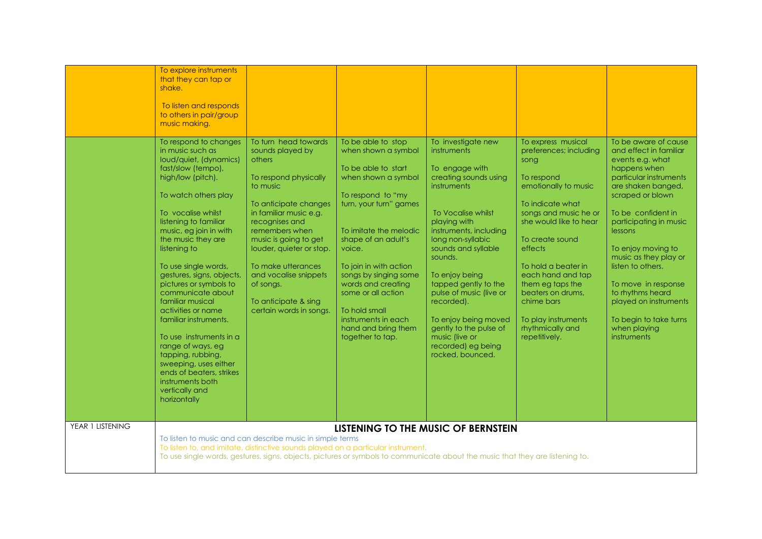|                  | To explore instruments<br>that they can tap or<br>shake.<br>To listen and responds<br>to others in pair/group<br>music making.<br>To respond to changes<br>in music such as<br>loud/quiet, (dynamics)                                                                                                                                                                                                                                                                                      | To turn head towards<br>sounds played by<br>others                                                                                                                                                                                                                  | To be able to stop<br>when shown a symbol                                                                                                                                                                                                                                                | To investigate new<br>instruments                                                                                                                                                                                                                                                                                                   | To express musical<br>preferences; including<br>song                                                                                                                                                                                                                                     | To be aware of cause<br>and effect in familiar<br>events e.g. what                                                                                                                                                                                                                                 |  |
|------------------|--------------------------------------------------------------------------------------------------------------------------------------------------------------------------------------------------------------------------------------------------------------------------------------------------------------------------------------------------------------------------------------------------------------------------------------------------------------------------------------------|---------------------------------------------------------------------------------------------------------------------------------------------------------------------------------------------------------------------------------------------------------------------|------------------------------------------------------------------------------------------------------------------------------------------------------------------------------------------------------------------------------------------------------------------------------------------|-------------------------------------------------------------------------------------------------------------------------------------------------------------------------------------------------------------------------------------------------------------------------------------------------------------------------------------|------------------------------------------------------------------------------------------------------------------------------------------------------------------------------------------------------------------------------------------------------------------------------------------|----------------------------------------------------------------------------------------------------------------------------------------------------------------------------------------------------------------------------------------------------------------------------------------------------|--|
|                  | To watch others play<br>To vocalise whilst<br>listening to familiar<br>music, eg join in with<br>the music they are<br>listening to<br>To use single words,<br>gestures, signs, objects,<br>pictures or symbols to<br>communicate about<br>familiar musical<br>activities or name<br>familiar instruments.<br>To use instruments in a<br>range of ways, eg<br>tapping, rubbing,<br>sweeping, uses either<br>ends of beaters, strikes<br>instruments both<br>vertically and<br>horizontally | to music<br>To anticipate changes<br>in familiar music e.g.<br>recognises and<br>remembers when<br>music is going to get<br>louder, quieter or stop.<br>To make utterances<br>and vocalise snippets<br>of songs.<br>To anticipate & sing<br>certain words in songs. | To respond to "my<br>turn, your turn" games<br>To imitate the melodic<br>shape of an adult's<br>voice.<br>To join in with action<br>songs by singing some<br>words and creating<br>some or all action<br>To hold small<br>instruments in each<br>hand and bring them<br>together to tap. | instruments<br>To Vocalise whilst<br>playing with<br>instruments, including<br>long non-syllabic<br>sounds and syllable<br>sounds.<br>To enjoy being<br>tapped gently to the<br>pulse of music (live or<br>recorded).<br>To enjoy being moved<br>gently to the pulse of<br>music (live or<br>recorded) eg being<br>rocked, bounced. | emotionally to music<br>To indicate what<br>songs and music he or<br>she would like to hear<br>To create sound<br>effects<br>To hold a beater in<br>each hand and tap<br>them eg taps the<br>beaters on drums.<br>chime bars<br>To play instruments<br>rhythmically and<br>repetitively. | are shaken banged,<br>scraped or blown<br>To be confident in<br>participating in music<br>lessons<br>To enjoy moving to<br>music as they play or<br>listen to others.<br>To move in response<br>to rhythms heard<br>played on instruments<br>To begin to take turns<br>when playing<br>instruments |  |
| YEAR 1 LISTENING | LISTENING TO THE MUSIC OF BERNSTEIN<br>To listen to music and can describe music in simple terms<br>To listen to, and imitate, distinctive sounds played on a particular instrument.<br>To use single words, gestures, signs, objects, pictures or symbols to communicate about the music that they are listening to.                                                                                                                                                                      |                                                                                                                                                                                                                                                                     |                                                                                                                                                                                                                                                                                          |                                                                                                                                                                                                                                                                                                                                     |                                                                                                                                                                                                                                                                                          |                                                                                                                                                                                                                                                                                                    |  |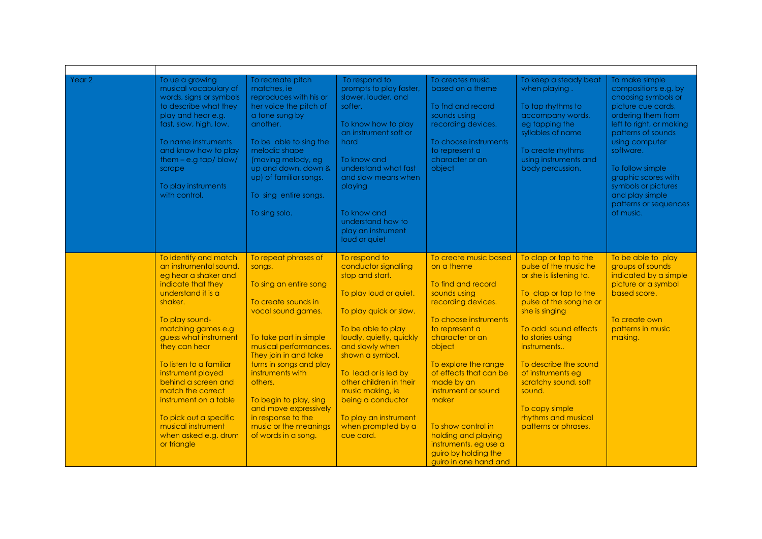| Year 2 | To ue a growing<br>musical vocabulary of<br>words, signs or symbols<br>to describe what they<br>play and hear e.g.<br>fast, slow, high, low.<br>To name instruments<br>and know how to play<br>them $-$ e.g tap/blow/<br>scrape<br>To play instruments<br>with control.                                                                                                                                                      | To recreate pitch<br>matches, ie<br>reproduces with his or<br>her voice the pitch of<br>a tone sung by<br>another.<br>To be able to sing the<br>melodic shape<br>(moving melody, eg<br>up and down, down &<br>up) of familiar songs.<br>To sing entire songs.<br>To sing solo.                                                                                       | To respond to<br>prompts to play faster,<br>slower, louder, and<br>softer.<br>To know how to play<br>an instrument soft or<br>hard<br>To know and<br>understand what fast<br>and slow means when<br>playing<br>To know and<br>understand how to<br>play an instrument<br>loud or quiet                                                                       | To creates music<br>based on a theme<br>To fnd and record<br>sounds using<br>recording devices.<br>To choose instruments<br>to represent a<br>character or an<br>object                                                                                                                                                                                                                        | To keep a steady beat<br>when playing.<br>To tap rhythms to<br>accompany words,<br>eg tapping the<br>syllables of name<br>To create rhythms<br>using instruments and<br>body percussion.                                                                                                                                                                    | To make simple<br>compositions e.g. by<br>choosing symbols or<br>picture cue cards,<br>ordering them from<br>left to right, or making<br>patterns of sounds<br>using computer<br>software.<br>To follow simple<br>graphic scores with<br>symbols or pictures<br>and play simple<br>patterns or sequences<br>of music. |
|--------|------------------------------------------------------------------------------------------------------------------------------------------------------------------------------------------------------------------------------------------------------------------------------------------------------------------------------------------------------------------------------------------------------------------------------|----------------------------------------------------------------------------------------------------------------------------------------------------------------------------------------------------------------------------------------------------------------------------------------------------------------------------------------------------------------------|--------------------------------------------------------------------------------------------------------------------------------------------------------------------------------------------------------------------------------------------------------------------------------------------------------------------------------------------------------------|------------------------------------------------------------------------------------------------------------------------------------------------------------------------------------------------------------------------------------------------------------------------------------------------------------------------------------------------------------------------------------------------|-------------------------------------------------------------------------------------------------------------------------------------------------------------------------------------------------------------------------------------------------------------------------------------------------------------------------------------------------------------|-----------------------------------------------------------------------------------------------------------------------------------------------------------------------------------------------------------------------------------------------------------------------------------------------------------------------|
|        | To identify and match<br>an instrumental sound.<br>eg hear a shaker and<br>indicate that they<br>understand it is a<br>shaker.<br>To play sound-<br>matching games e.g<br>guess what instrument<br>they can hear<br>To listen to a familiar<br>instrument played<br>behind a screen and<br>match the correct<br>instrument on a table<br>To pick out a specific<br>musical instrument<br>when asked e.g. drum<br>or triangle | To repeat phrases of<br>songs.<br>To sing an entire song<br>To create sounds in<br>vocal sound games.<br>To take part in simple<br>musical performances.<br>They join in and take<br>turns in songs and play<br>instruments with<br>others.<br>To begin to play, sing<br>and move expressively<br>in response to the<br>music or the meanings<br>of words in a song. | To respond to<br>conductor signalling<br>stop and start.<br>To play loud or quiet.<br>To play quick or slow.<br>To be able to play<br>loudly, quietly, quickly<br>and slowly when<br>shown a symbol.<br>To lead or is led by<br>other children in their<br>music making, ie<br>being a conductor<br>To play an instrument<br>when prompted by a<br>cue card. | To create music based<br>on a theme<br>To find and record<br>sounds using<br>recording devices.<br>To choose instruments<br>to represent a<br>character or an<br>object<br>To explore the range<br>of effects that can be<br>made by an<br>instrument or sound<br>maker<br>To show control in<br>holding and playing<br>instruments, eg use a<br>guiro by holding the<br>guiro in one hand and | To clap or tap to the<br>pulse of the music he<br>or she is listening to.<br>To clap or tap to the<br>pulse of the song he or<br>she is singing<br>To add sound effects<br>to stories using<br>instruments<br>To describe the sound<br>of instruments eg<br>scratchy sound, soft<br>sound.<br>To copy simple<br>rhythms and musical<br>patterns or phrases. | To be able to play<br>groups of sounds<br>indicated by a simple<br>picture or a symbol<br>based score.<br>To create own<br>patterns in music<br>making.                                                                                                                                                               |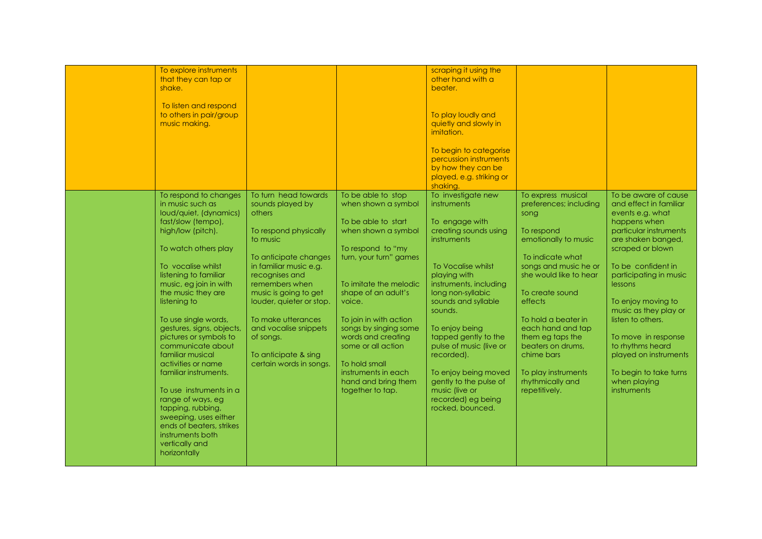| To explore instruments                 |                                   |                        | scraping it using the                |                                    |                                              |
|----------------------------------------|-----------------------------------|------------------------|--------------------------------------|------------------------------------|----------------------------------------------|
| that they can tap or                   |                                   |                        | other hand with a                    |                                    |                                              |
| shake.                                 |                                   |                        | beater.                              |                                    |                                              |
| To listen and respond                  |                                   |                        |                                      |                                    |                                              |
| to others in pair/group                |                                   |                        | To play loudly and                   |                                    |                                              |
| music making.                          |                                   |                        | quietly and slowly in                |                                    |                                              |
|                                        |                                   |                        | imitation.                           |                                    |                                              |
|                                        |                                   |                        |                                      |                                    |                                              |
|                                        |                                   |                        | To begin to categorise               |                                    |                                              |
|                                        |                                   |                        | percussion instruments               |                                    |                                              |
|                                        |                                   |                        | by how they can be                   |                                    |                                              |
|                                        |                                   |                        | played, e.g. striking or             |                                    |                                              |
|                                        |                                   |                        | shaking.                             |                                    |                                              |
| To respond to changes                  | To turn head towards              | To be able to stop     | To investigate new                   | To express musical                 | To be aware of cause                         |
| in music such as                       | sounds played by                  | when shown a symbol    | instruments                          | preferences; including             | and effect in familiar                       |
| loud/quiet, (dynamics)                 | others                            |                        |                                      | song                               | events e.g. what                             |
| fast/slow (tempo),                     |                                   | To be able to start    | To engage with                       |                                    | happens when                                 |
| high/low (pitch).                      | To respond physically<br>to music | when shown a symbol    | creating sounds using<br>instruments | To respond<br>emotionally to music | particular instruments<br>are shaken banged, |
| To watch others play                   |                                   | To respond to "my      |                                      |                                    | scraped or blown                             |
|                                        | To anticipate changes             | turn, your turn" games |                                      | To indicate what                   |                                              |
| To vocalise whilst                     | in familiar music e.g.            |                        | To Vocalise whilst                   | songs and music he or              | To be confident in                           |
| listening to familiar                  | recognises and                    |                        | playing with                         | she would like to hear             | participating in music                       |
| music, eg join in with                 | remembers when                    | To imitate the melodic | instruments, including               |                                    | lessons                                      |
| the music they are                     | music is going to get             | shape of an adult's    | long non-syllabic                    | To create sound                    |                                              |
| listening to                           | louder, quieter or stop.          | voice.                 | sounds and syllable                  | effects                            | To enjoy moving to                           |
|                                        |                                   |                        | sounds.                              |                                    | music as they play or                        |
| To use single words,                   | To make utterances                | To join in with action |                                      | To hold a beater in                | listen to others.                            |
| gestures, signs, objects,              | and vocalise snippets             | songs by singing some  | To enjoy being                       | each hand and tap                  |                                              |
| pictures or symbols to                 | of songs.                         | words and creating     | tapped gently to the                 | them eg taps the                   | To move in response                          |
| communicate about                      |                                   | some or all action     | pulse of music (live or              | beaters on drums,                  | to rhythms heard                             |
| familiar musical                       | To anticipate & sing              |                        | recorded).                           | chime bars                         | played on instruments                        |
| activities or name                     | certain words in songs.           | To hold small          |                                      |                                    |                                              |
| familiar instruments.                  |                                   | instruments in each    | To enjoy being moved                 | To play instruments                | To begin to take turns                       |
|                                        |                                   | hand and bring them    | gently to the pulse of               | rhythmically and                   | when playing                                 |
| To use instruments in a                |                                   | together to tap.       | music (live or<br>recorded) eg being | repetitively.                      | instruments                                  |
| range of ways, eg<br>tapping, rubbing, |                                   |                        | rocked, bounced.                     |                                    |                                              |
| sweeping, uses either                  |                                   |                        |                                      |                                    |                                              |
| ends of beaters, strikes               |                                   |                        |                                      |                                    |                                              |
| instruments both                       |                                   |                        |                                      |                                    |                                              |
| vertically and                         |                                   |                        |                                      |                                    |                                              |
| horizontally                           |                                   |                        |                                      |                                    |                                              |
|                                        |                                   |                        |                                      |                                    |                                              |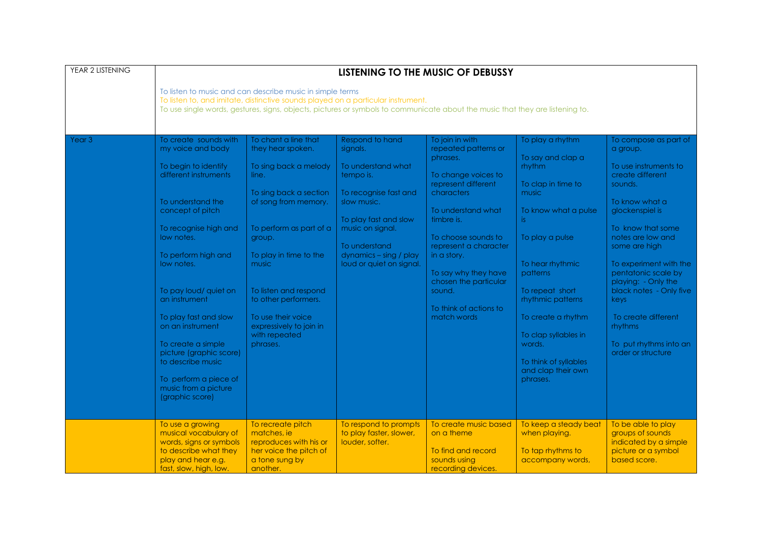| YEAR 2 LISTENING  | LISTENING TO THE MUSIC OF DEBUSSY<br>To listen to music and can describe music in simple terms<br>To listen to, and imitate, distinctive sounds played on a particular instrument.<br>To use single words, gestures, signs, objects, pictures or symbols to communicate about the music that they are listening to.                                                                                                                               |                                                                                                                                                                                                                                                                                                                                      |                                                                                                                                                                                                                            |                                                                                                                                                                                                                                                                                                                        |                                                                                                                                                                                                                                                                                                                             |                                                                                                                                                                                                                                                                                                                                                                                               |  |  |
|-------------------|---------------------------------------------------------------------------------------------------------------------------------------------------------------------------------------------------------------------------------------------------------------------------------------------------------------------------------------------------------------------------------------------------------------------------------------------------|--------------------------------------------------------------------------------------------------------------------------------------------------------------------------------------------------------------------------------------------------------------------------------------------------------------------------------------|----------------------------------------------------------------------------------------------------------------------------------------------------------------------------------------------------------------------------|------------------------------------------------------------------------------------------------------------------------------------------------------------------------------------------------------------------------------------------------------------------------------------------------------------------------|-----------------------------------------------------------------------------------------------------------------------------------------------------------------------------------------------------------------------------------------------------------------------------------------------------------------------------|-----------------------------------------------------------------------------------------------------------------------------------------------------------------------------------------------------------------------------------------------------------------------------------------------------------------------------------------------------------------------------------------------|--|--|
|                   |                                                                                                                                                                                                                                                                                                                                                                                                                                                   |                                                                                                                                                                                                                                                                                                                                      |                                                                                                                                                                                                                            |                                                                                                                                                                                                                                                                                                                        |                                                                                                                                                                                                                                                                                                                             |                                                                                                                                                                                                                                                                                                                                                                                               |  |  |
| Year <sub>3</sub> | To create sounds with<br>my voice and body<br>To begin to identify<br>different instruments<br>To understand the<br>concept of pitch<br>To recognise high and<br>low notes.<br>To perform high and<br>low notes.<br>To pay loud/ quiet on<br>an instrument<br>To play fast and slow<br>on an instrument<br>To create a simple<br>picture (graphic score)<br>to describe music<br>To perform a piece of<br>music from a picture<br>(graphic score) | To chant a line that<br>they hear spoken.<br>To sing back a melody<br>line.<br>To sing back a section<br>of song from memory.<br>To perform as part of a<br>group.<br>To play in time to the<br>music<br>To listen and respond<br>to other performers.<br>To use their voice<br>expressively to join in<br>with repeated<br>phrases. | Respond to hand<br>signals.<br>To understand what<br>tempo is.<br>To recognise fast and<br>slow music.<br>To play fast and slow<br>music on signal.<br>To understand<br>dynamics - sing / play<br>loud or quiet on signal. | To join in with<br>repeated patterns or<br>phrases.<br>To change voices to<br>represent different<br>characters<br>To understand what<br>timbre is.<br>To choose sounds to<br>represent a character<br>in a story.<br>To say why they have<br>chosen the particular<br>sound.<br>To think of actions to<br>match words | To play a rhythm<br>To say and clap a<br>rhythm<br>To clap in time to<br>music<br>To know what a pulse<br>is.<br>To play a pulse<br>To hear rhythmic<br>patterns<br>To repeat short<br>rhythmic patterns<br>To create a rhythm<br>To clap syllables in<br>words.<br>To think of syllables<br>and clap their own<br>phrases. | To compose as part of<br>a group.<br>To use instruments to<br>create different<br>sounds.<br>To know what a<br>glockenspiel is<br>To know that some<br>notes are low and<br>some are high<br>To experiment with the<br>pentatonic scale by<br>playing: - Only the<br>black notes - Only five<br>keys<br>To create different<br><b>rhythms</b><br>To put rhythms into an<br>order or structure |  |  |
|                   | To use a growing<br>musical vocabulary of<br>words, signs or symbols<br>to describe what they<br>play and hear e.g.<br>fast, slow, high, low.                                                                                                                                                                                                                                                                                                     | To recreate pitch<br>matches, ie<br>reproduces with his or<br>her voice the pitch of<br>a tone sung by<br>another.                                                                                                                                                                                                                   | To respond to prompts<br>to play faster, slower,<br>louder, softer.                                                                                                                                                        | To create music based<br>on a theme<br>To find and record<br>sounds using<br>recording devices.                                                                                                                                                                                                                        | To keep a steady beat<br>when playing.<br>To tap rhythms to<br>accompany words,                                                                                                                                                                                                                                             | To be able to play<br>groups of sounds<br>indicated by a simple<br>picture or a symbol<br>based score.                                                                                                                                                                                                                                                                                        |  |  |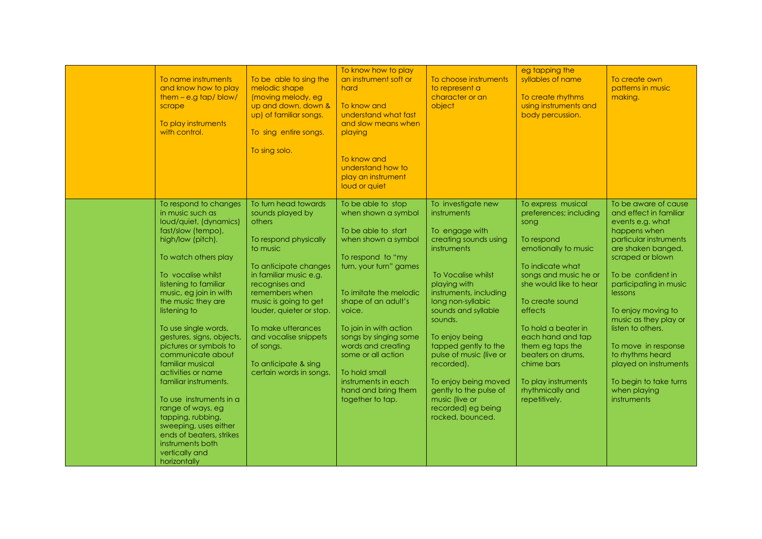| To name instruments<br>and know how to play<br>$them - e.g tap/blow/$<br>scrape<br>To play instruments<br>with control.                                                                                                                                                                                                                                                                                                                                                                                                                                                                                      | To be able to sing the<br>melodic shape<br>(moving melody, eg<br>up and down, down &<br>up) of familiar songs.<br>To sing entire songs.<br>To sing solo.                                                                                                                                                                                           | To know how to play<br>an instrument soft or<br>hard<br>To know and<br>understand what fast<br>and slow means when<br>playing<br>To know and<br>understand how to<br>play an instrument<br>loud or quiet                                                                                                                                                                            | To choose instruments<br>to represent a<br>character or an<br>object                                                                                                                                                                                                                                                                                                                                                       | eg tapping the<br>syllables of name<br>To create rhythms<br>using instruments and<br>body percussion.                                                                                                                                                                                                                                                          | To create own<br>patterns in music<br>making.                                                                                                                                                                                                                                                                                                                                                                      |
|--------------------------------------------------------------------------------------------------------------------------------------------------------------------------------------------------------------------------------------------------------------------------------------------------------------------------------------------------------------------------------------------------------------------------------------------------------------------------------------------------------------------------------------------------------------------------------------------------------------|----------------------------------------------------------------------------------------------------------------------------------------------------------------------------------------------------------------------------------------------------------------------------------------------------------------------------------------------------|-------------------------------------------------------------------------------------------------------------------------------------------------------------------------------------------------------------------------------------------------------------------------------------------------------------------------------------------------------------------------------------|----------------------------------------------------------------------------------------------------------------------------------------------------------------------------------------------------------------------------------------------------------------------------------------------------------------------------------------------------------------------------------------------------------------------------|----------------------------------------------------------------------------------------------------------------------------------------------------------------------------------------------------------------------------------------------------------------------------------------------------------------------------------------------------------------|--------------------------------------------------------------------------------------------------------------------------------------------------------------------------------------------------------------------------------------------------------------------------------------------------------------------------------------------------------------------------------------------------------------------|
| To respond to changes<br>in music such as<br>loud/quiet, (dynamics)<br>fast/slow (tempo),<br>high/low (pitch).<br>To watch others play<br>To vocalise whilst<br>listening to familiar<br>music, eg join in with<br>the music they are<br>listening to<br>To use single words,<br>gestures, signs, objects,<br>pictures or symbols to<br>communicate about<br>familiar musical<br>activities or name<br>familiar instruments.<br>To use instruments in a<br>range of ways, eg<br>tapping, rubbing,<br>sweeping, uses either<br>ends of beaters, strikes<br>instruments both<br>vertically and<br>horizontally | To turn head towards<br>sounds played by<br>others<br>To respond physically<br>to music<br>To anticipate changes<br>in familiar music e.g.<br>recognises and<br>remembers when<br>music is going to get<br>louder, quieter or stop.<br>To make utterances<br>and vocalise snippets<br>of songs.<br>To anticipate & sing<br>certain words in songs. | To be able to stop<br>when shown a symbol<br>To be able to start<br>when shown a symbol<br>To respond to "my<br>turn, your turn" games<br>To imitate the melodic<br>shape of an adult's<br>voice.<br>To join in with action<br>songs by singing some<br>words and creating<br>some or all action<br>To hold small<br>instruments in each<br>hand and bring them<br>together to tap. | To investigate new<br>instruments<br>To engage with<br>creating sounds using<br><i>instruments</i><br>To Vocalise whilst<br>playing with<br>instruments, including<br>long non-syllabic<br>sounds and syllable<br>sounds.<br>To enjoy being<br>tapped gently to the<br>pulse of music (live or<br>recorded).<br>To enjoy being moved<br>gently to the pulse of<br>music (live or<br>recorded) eg being<br>rocked, bounced. | To express musical<br>preferences; including<br>song<br>To respond<br>emotionally to music<br>To indicate what<br>songs and music he or<br>she would like to hear<br>To create sound<br>effects<br>To hold a beater in<br>each hand and tap<br>them eg taps the<br>beaters on drums.<br>chime bars<br>To play instruments<br>rhythmically and<br>repetitively. | To be aware of cause<br>and effect in familiar<br>events e.g. what<br>happens when<br>particular instruments<br>are shaken banged,<br>scraped or blown<br>To be confident in<br>participating in music<br>lessons<br>To enjoy moving to<br>music as they play or<br>listen to others.<br>To move in response<br>to rhythms heard<br>played on instruments<br>To begin to take turns<br>when playing<br>instruments |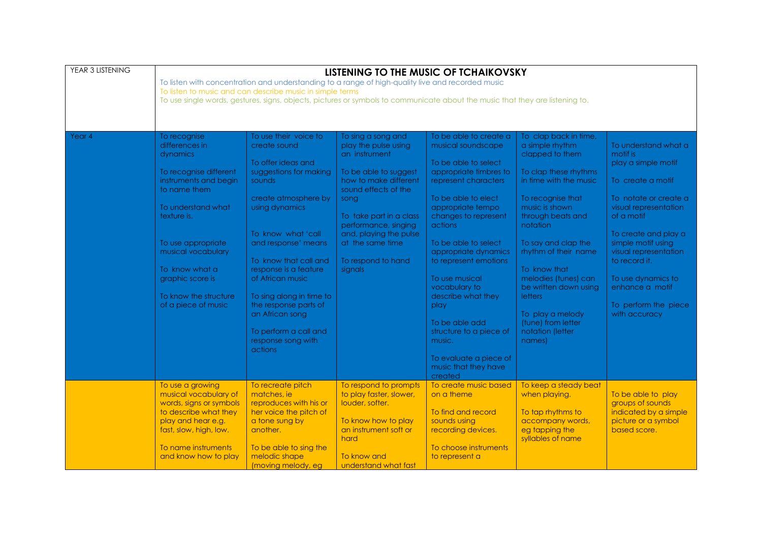| YEAR 3 LISTENING | LISTENING TO THE MUSIC OF TCHAIKOVSKY<br>To listen with concentration and understanding to a range of high-quality live and recorded music<br>To listen to music and can describe music in simple terms<br>To use single words, gestures, signs, objects, pictures or symbols to communicate about the music that they are listening to. |                                                                                                                                                                                                                                                                                                                                                                                                |                                                                                                                                                                                                                                                                                 |                                                                                                                                                                                                                                                                                                                                                                                                                                                                     |                                                                                                                                                                                                                                                                                                                                                                                                  |                                                                                                                                                                                                                                                                                                                        |  |  |
|------------------|------------------------------------------------------------------------------------------------------------------------------------------------------------------------------------------------------------------------------------------------------------------------------------------------------------------------------------------|------------------------------------------------------------------------------------------------------------------------------------------------------------------------------------------------------------------------------------------------------------------------------------------------------------------------------------------------------------------------------------------------|---------------------------------------------------------------------------------------------------------------------------------------------------------------------------------------------------------------------------------------------------------------------------------|---------------------------------------------------------------------------------------------------------------------------------------------------------------------------------------------------------------------------------------------------------------------------------------------------------------------------------------------------------------------------------------------------------------------------------------------------------------------|--------------------------------------------------------------------------------------------------------------------------------------------------------------------------------------------------------------------------------------------------------------------------------------------------------------------------------------------------------------------------------------------------|------------------------------------------------------------------------------------------------------------------------------------------------------------------------------------------------------------------------------------------------------------------------------------------------------------------------|--|--|
| Year 4           | To recognise<br>differences in<br>dynamics<br>To recognise different<br>instruments and begin<br>to name them<br>To understand what<br>texture is.<br>To use appropriate<br>musical vocabulary<br>To know what a<br>graphic score is<br>To know the structure<br>of a piece of music                                                     | To use their voice to<br>create sound<br>To offer ideas and<br>suggestions for making<br>sounds<br>create atmosphere by<br>using dynamics<br>To know what 'call<br>and response' means<br>To know that call and<br>response is a feature<br>of African music<br>To sing along in time to<br>the response parts of<br>an African song<br>To perform a call and<br>response song with<br>actions | To sing a song and<br>play the pulse using<br>an instrument<br>To be able to suggest<br>how to make different<br>sound effects of the<br>song<br>To take part in a class<br>performance, singing<br>and, playing the pulse<br>at the same time<br>To respond to hand<br>signals | To be able to create a<br>musical soundscape<br>To be able to select<br>appropriate timbres to<br>represent characters<br>To be able to elect<br>appropriate tempo<br>changes to represent<br>actions<br>To be able to select<br>appropriate dynamics<br>to represent emotions<br>To use musical<br>vocabulary to<br>describe what they<br>play<br>To be able add<br>structure to a piece of<br>music.<br>To evaluate a piece of<br>music that they have<br>created | To clap back in time,<br>a simple rhythm<br>clapped to them<br>To clap these rhythms<br>in time with the music<br>To recognise that<br>music is shown<br>through beats and<br>notation<br>To say and clap the<br>rhythm of their name<br>To know that<br>melodies (tunes) can<br>be written down using<br><b>letters</b><br>To play a melody<br>(tune) from letter<br>notation (letter<br>names) | To understand what a<br>motif is<br>play a simple motif<br>To create a motif<br>To notate or create a<br>visual representation<br>of a motif<br>To create and play a<br>simple motif using<br>visual representation<br>to record it.<br>To use dynamics to<br>enhance a motif<br>To perform the piece<br>with accuracy |  |  |
|                  | To use a growing<br>musical vocabulary of<br>words, signs or symbols<br>to describe what they<br>play and hear e.g.<br>fast, slow, high, low.<br>To name instruments<br>and know how to play                                                                                                                                             | To recreate pitch<br>matches, ie<br>reproduces with his or<br>her voice the pitch of<br>a tone sung by<br>another.<br>To be able to sing the<br>melodic shape<br>(moving melody, eg                                                                                                                                                                                                            | To respond to prompts<br>to play faster, slower,<br>louder, softer.<br>To know how to play<br>an instrument soft or<br>hard<br>To know and<br>understand what fast                                                                                                              | To create music based<br>on a theme<br>To find and record<br>sounds using<br>recording devices.<br>To choose instruments<br>to represent a                                                                                                                                                                                                                                                                                                                          | To keep a steady beat<br>when playing.<br>To tap rhythms to<br>accompany words,<br>eg tapping the<br>syllables of name                                                                                                                                                                                                                                                                           | To be able to play<br>groups of sounds<br>indicated by a simple<br>picture or a symbol<br>based score.                                                                                                                                                                                                                 |  |  |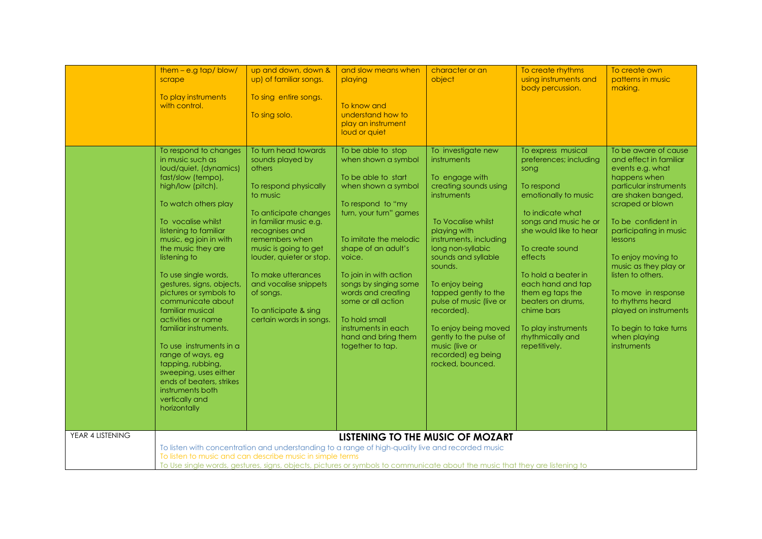|                  | $them - e.g tap/blow/$<br>scrape<br>To play instruments<br>with control.                                                                                                                                                                                                                                                                                                                                                                                                                                                                                                                                     | up and down, down &<br>up) of familiar songs.<br>To sing entire songs.<br>To sing solo.                                                                                                                                                                                                                                                            | and slow means when<br>playing<br>To know and<br>understand how to<br>play an instrument<br>loud or quiet                                                                                                                                                                                                                                                                           | character or an<br>object                                                                                                                                                                                                                                                                                                                                                                                           | To create rhythms<br>using instruments and<br>body percussion.                                                                                                                                                                                                                                                                                                 | To create own<br>patterns in music<br>making.                                                                                                                                                                                                                                                                                                                                                                      |
|------------------|--------------------------------------------------------------------------------------------------------------------------------------------------------------------------------------------------------------------------------------------------------------------------------------------------------------------------------------------------------------------------------------------------------------------------------------------------------------------------------------------------------------------------------------------------------------------------------------------------------------|----------------------------------------------------------------------------------------------------------------------------------------------------------------------------------------------------------------------------------------------------------------------------------------------------------------------------------------------------|-------------------------------------------------------------------------------------------------------------------------------------------------------------------------------------------------------------------------------------------------------------------------------------------------------------------------------------------------------------------------------------|---------------------------------------------------------------------------------------------------------------------------------------------------------------------------------------------------------------------------------------------------------------------------------------------------------------------------------------------------------------------------------------------------------------------|----------------------------------------------------------------------------------------------------------------------------------------------------------------------------------------------------------------------------------------------------------------------------------------------------------------------------------------------------------------|--------------------------------------------------------------------------------------------------------------------------------------------------------------------------------------------------------------------------------------------------------------------------------------------------------------------------------------------------------------------------------------------------------------------|
|                  | To respond to changes<br>in music such as<br>loud/quiet, (dynamics)<br>fast/slow (tempo),<br>high/low (pitch).<br>To watch others play<br>To vocalise whilst<br>listening to familiar<br>music, eg join in with<br>the music they are<br>listening to<br>To use single words,<br>gestures, signs, objects,<br>pictures or symbols to<br>communicate about<br>familiar musical<br>activities or name<br>familiar instruments.<br>To use instruments in a<br>range of ways, eg<br>tapping, rubbing,<br>sweeping, uses either<br>ends of beaters, strikes<br>instruments both<br>vertically and<br>horizontally | To turn head towards<br>sounds played by<br>others<br>To respond physically<br>to music<br>To anticipate changes<br>in familiar music e.g.<br>recognises and<br>remembers when<br>music is going to get<br>louder, quieter or stop.<br>To make utterances<br>and vocalise snippets<br>of songs.<br>To anticipate & sing<br>certain words in songs. | To be able to stop<br>when shown a symbol<br>To be able to start<br>when shown a symbol<br>To respond to "my<br>turn, your turn" games<br>To imitate the melodic<br>shape of an adult's<br>voice.<br>To join in with action<br>songs by singing some<br>words and creating<br>some or all action<br>To hold small<br>instruments in each<br>hand and bring them<br>together to tap. | To investigate new<br>instruments<br>To engage with<br>creating sounds using<br>instruments<br>To Vocalise whilst<br>playing with<br>instruments, including<br>long non-syllabic<br>sounds and syllable<br>sounds.<br>To enjoy being<br>tapped gently to the<br>pulse of music (live or<br>recorded).<br>To enjoy being moved<br>gently to the pulse of<br>music (live or<br>recorded) eg being<br>rocked, bounced. | To express musical<br>preferences; including<br>song<br>To respond<br>emotionally to music<br>to indicate what<br>songs and music he or<br>she would like to hear<br>To create sound<br>effects<br>To hold a beater in<br>each hand and tap<br>them eg taps the<br>beaters on drums.<br>chime bars<br>To play instruments<br>rhythmically and<br>repetitively. | To be aware of cause<br>and effect in familiar<br>events e.g. what<br>happens when<br>particular instruments<br>are shaken banged,<br>scraped or blown<br>To be confident in<br>participating in music<br>lessons<br>To enjoy moving to<br>music as they play or<br>listen to others.<br>To move in response<br>to rhythms heard<br>played on instruments<br>To begin to take turns<br>when playing<br>instruments |
| YEAR 4 LISTENING |                                                                                                                                                                                                                                                                                                                                                                                                                                                                                                                                                                                                              | To listen to music and can describe music in simple terms                                                                                                                                                                                                                                                                                          | LISTENING TO THE MUSIC OF MOZART<br>To listen with concentration and understanding to a range of high-quality live and recorded music<br>To Use single words, gestures, signs, objects, pictures or symbols to communicate about the music that they are listening to                                                                                                               |                                                                                                                                                                                                                                                                                                                                                                                                                     |                                                                                                                                                                                                                                                                                                                                                                |                                                                                                                                                                                                                                                                                                                                                                                                                    |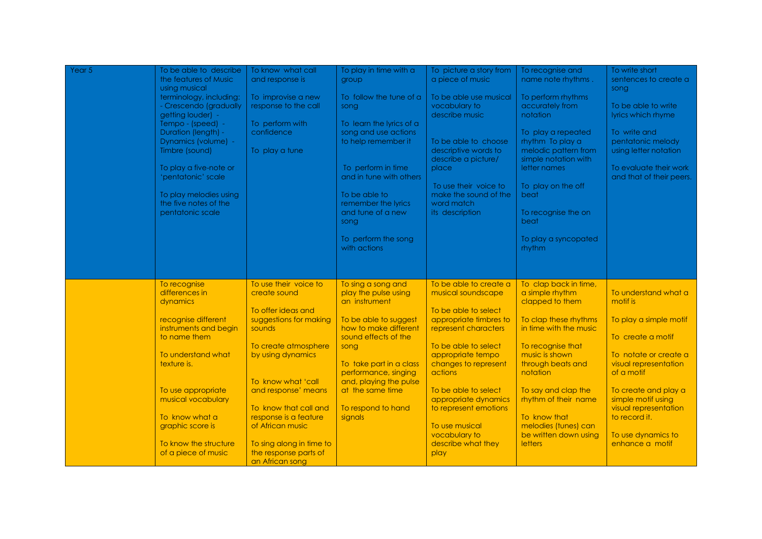| Year 5 | To be able to describe                            | To know what call                                 | To play in time with a                           | To picture a story from                       | To recognise and                             | To write short                                     |
|--------|---------------------------------------------------|---------------------------------------------------|--------------------------------------------------|-----------------------------------------------|----------------------------------------------|----------------------------------------------------|
|        | the features of Music<br>using musical            | and response is                                   | group                                            | a piece of music                              | name note rhythms.                           | sentences to create a<br>song                      |
|        | terminology, including:<br>- Crescendo (gradually | To improvise a new<br>response to the call        | To follow the tune of a<br>song                  | To be able use musical<br>vocabulary to       | To perform rhythms<br>accurately from        | To be able to write                                |
|        | getting louder) -                                 |                                                   |                                                  | describe music                                | notation                                     | lyrics which rhyme                                 |
|        | Tempo - (speed) -<br>Duration (length) -          | To perform with<br>confidence                     | To learn the lyrics of a<br>song and use actions |                                               | To play a repeated                           | To write and                                       |
|        | Dynamics (volume) -                               |                                                   | to help remember it                              | To be able to choose                          | rhythm To play a                             | pentatonic melody                                  |
|        | Timbre (sound)                                    | To play a tune                                    |                                                  | descriptive words to<br>describe a picture/   | melodic pattern from<br>simple notation with | using letter notation                              |
|        | To play a five-note or<br>'pentatonic' scale      |                                                   | To perform in time<br>and in tune with others    | place                                         | letter names                                 | To evaluate their work<br>and that of their peers. |
|        |                                                   |                                                   |                                                  | To use their voice to                         | To play on the off                           |                                                    |
|        | To play melodies using<br>the five notes of the   |                                                   | To be able to<br>remember the lyrics             | make the sound of the<br>word match           | beat                                         |                                                    |
|        | pentatonic scale                                  |                                                   | and tune of a new<br>song                        | its description                               | To recognise the on<br>beat                  |                                                    |
|        |                                                   |                                                   |                                                  |                                               |                                              |                                                    |
|        |                                                   |                                                   | To perform the song<br>with actions              |                                               | To play a syncopated<br>rhythm               |                                                    |
|        |                                                   |                                                   |                                                  |                                               |                                              |                                                    |
|        |                                                   |                                                   |                                                  |                                               |                                              |                                                    |
|        | To recognise<br>differences in                    | To use their voice to<br>create sound             | To sing a song and<br>play the pulse using       | To be able to create a<br>musical soundscape  | To clap back in time,<br>a simple rhythm     | To understand what a                               |
|        | dynamics                                          | To offer ideas and                                | an instrument                                    | To be able to select                          | clapped to them                              | motif is                                           |
|        | recognise different                               | suggestions for making                            | To be able to suggest                            | appropriate timbres to                        | To clap these rhythms                        | To play a simple motif                             |
|        | instruments and begin<br>to name them             | sounds                                            | how to make different<br>sound effects of the    | represent characters                          | in time with the music                       | To create a motif                                  |
|        | To understand what                                | To create atmosphere<br>by using dynamics         | song                                             | To be able to select<br>appropriate tempo     | To recognise that<br>music is shown          | To notate or create a                              |
|        | texture is.                                       |                                                   | To take part in a class                          | changes to represent                          | through beats and                            | visual representation                              |
|        |                                                   | To know what 'call                                | performance, singing<br>and, playing the pulse   | actions                                       | notation                                     | of a motif                                         |
|        | To use appropriate                                | and response' means                               | at the same time                                 | To be able to select                          | To say and clap the                          | To create and play a                               |
|        | musical vocabulary                                | To know that call and                             | To respond to hand                               | appropriate dynamics<br>to represent emotions | rhythm of their name                         | simple motif using<br>visual representation        |
|        | To know what a<br>graphic score is                | response is a feature<br>of African music         | signals                                          | To use musical                                | To know that<br>melodies (tunes) can         | to record it.                                      |
|        |                                                   |                                                   |                                                  | vocabulary to                                 | be written down using                        | To use dynamics to                                 |
|        | To know the structure<br>of a piece of music      | To sing along in time to<br>the response parts of |                                                  | describe what they<br>play                    | <b>letters</b>                               | enhance a motif                                    |
|        |                                                   | an African song                                   |                                                  |                                               |                                              |                                                    |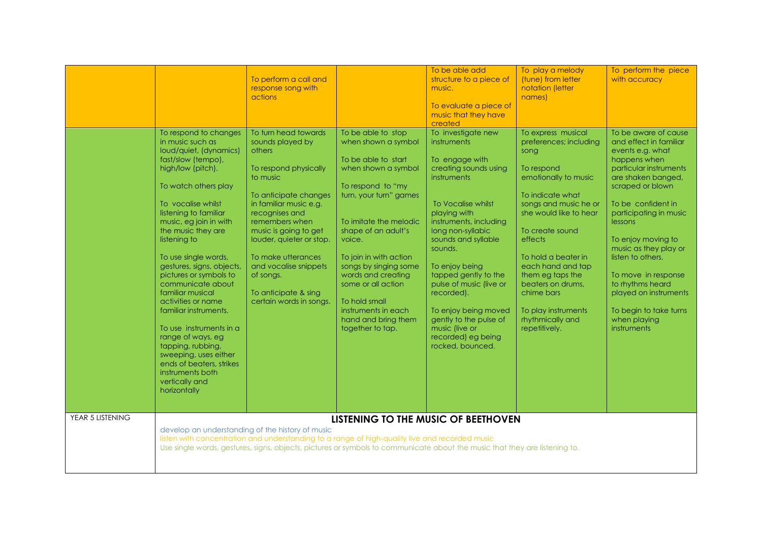|                  |                                                                                                                                                                                                                                                                                                                                                                                                                                                                                                                                                                                                              | To perform a call and<br>response song with<br>actions                                                                                                                                                                                                                                                                                             |                                                                                                                                                                                                                                                                                                                                                                                     | To be able add<br>structure to a piece of<br>music.<br>To evaluate a piece of<br>music that they have<br>created                                                                                                                                                                                                                                                                                                    | To play a melody<br>(tune) from letter<br>notation (letter<br>names)                                                                                                                                                                                                                                                                                           | To perform the piece<br>with accuracy                                                                                                                                                                                                                                                                                                                                                                                     |  |
|------------------|--------------------------------------------------------------------------------------------------------------------------------------------------------------------------------------------------------------------------------------------------------------------------------------------------------------------------------------------------------------------------------------------------------------------------------------------------------------------------------------------------------------------------------------------------------------------------------------------------------------|----------------------------------------------------------------------------------------------------------------------------------------------------------------------------------------------------------------------------------------------------------------------------------------------------------------------------------------------------|-------------------------------------------------------------------------------------------------------------------------------------------------------------------------------------------------------------------------------------------------------------------------------------------------------------------------------------------------------------------------------------|---------------------------------------------------------------------------------------------------------------------------------------------------------------------------------------------------------------------------------------------------------------------------------------------------------------------------------------------------------------------------------------------------------------------|----------------------------------------------------------------------------------------------------------------------------------------------------------------------------------------------------------------------------------------------------------------------------------------------------------------------------------------------------------------|---------------------------------------------------------------------------------------------------------------------------------------------------------------------------------------------------------------------------------------------------------------------------------------------------------------------------------------------------------------------------------------------------------------------------|--|
|                  | To respond to changes<br>in music such as<br>loud/quiet, (dynamics)<br>fast/slow (tempo),<br>high/low (pitch).<br>To watch others play<br>To vocalise whilst<br>listening to familiar<br>music, eg join in with<br>the music they are<br>listening to<br>To use single words,<br>gestures, signs, objects,<br>pictures or symbols to<br>communicate about<br>familiar musical<br>activities or name<br>familiar instruments.<br>To use instruments in a<br>range of ways, eg<br>tapping, rubbing,<br>sweeping, uses either<br>ends of beaters, strikes<br>instruments both<br>vertically and<br>horizontally | To turn head towards<br>sounds played by<br>others<br>To respond physically<br>to music<br>To anticipate changes<br>in familiar music e.g.<br>recognises and<br>remembers when<br>music is going to get<br>louder, quieter or stop.<br>To make utterances<br>and vocalise snippets<br>of songs.<br>To anticipate & sing<br>certain words in songs. | To be able to stop<br>when shown a symbol<br>To be able to start<br>when shown a symbol<br>To respond to "my<br>turn, your turn" games<br>To imitate the melodic<br>shape of an adult's<br>voice.<br>To join in with action<br>songs by singing some<br>words and creating<br>some or all action<br>To hold small<br>instruments in each<br>hand and bring them<br>together to tap. | To investigate new<br>instruments<br>To engage with<br>creating sounds using<br>instruments<br>To Vocalise whilst<br>playing with<br>instruments, including<br>long non-syllabic<br>sounds and syllable<br>sounds.<br>To enjoy being<br>tapped gently to the<br>pulse of music (live or<br>recorded).<br>To enjoy being moved<br>gently to the pulse of<br>music (live or<br>recorded) eg being<br>rocked, bounced. | To express musical<br>preferences; including<br>song<br>To respond<br>emotionally to music<br>To indicate what<br>songs and music he or<br>she would like to hear<br>To create sound<br>effects<br>To hold a beater in<br>each hand and tap<br>them eg taps the<br>beaters on drums,<br>chime bars<br>To play instruments<br>rhythmically and<br>repetitively. | To be aware of cause<br>and effect in familiar<br>events e.g. what<br>happens when<br>particular instruments<br>are shaken banged,<br>scraped or blown<br>To be confident in<br>participating in music<br><i>lessons</i><br>To enjoy moving to<br>music as they play or<br>listen to others.<br>To move in response<br>to rhythms heard<br>played on instruments<br>To begin to take turns<br>when playing<br>instruments |  |
| YEAR 5 LISTENING | LISTENING TO THE MUSIC OF BEETHOVEN<br>develop an understanding of the history of music<br>listen with concentration and understanding to a range of high-quality live and recorded music<br>Use single words, gestures, signs, objects, pictures or symbols to communicate about the music that they are listening to.                                                                                                                                                                                                                                                                                      |                                                                                                                                                                                                                                                                                                                                                    |                                                                                                                                                                                                                                                                                                                                                                                     |                                                                                                                                                                                                                                                                                                                                                                                                                     |                                                                                                                                                                                                                                                                                                                                                                |                                                                                                                                                                                                                                                                                                                                                                                                                           |  |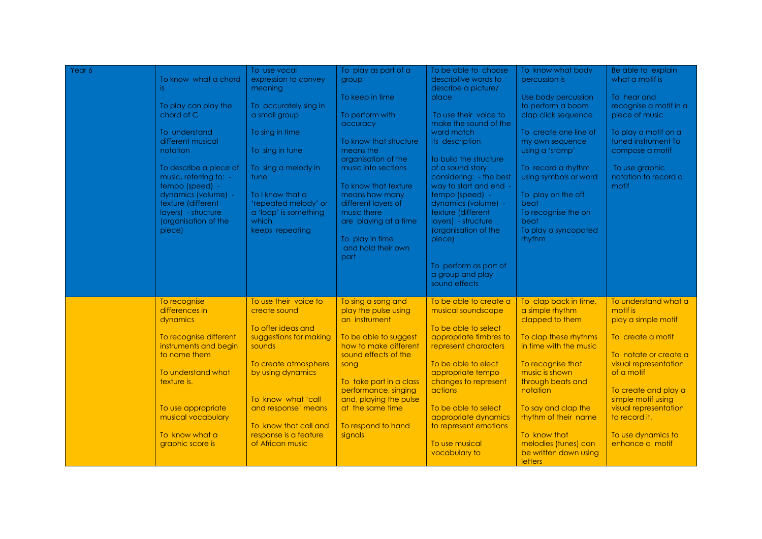| Year 6 |                                                  | To use vocal                | To play as part of a                           | To be able to choose                        | To know what body                               | Be able to explain                     |
|--------|--------------------------------------------------|-----------------------------|------------------------------------------------|---------------------------------------------|-------------------------------------------------|----------------------------------------|
|        | To know what a chord                             | expression to convey        | group                                          | descriptive words to                        | percussion is                                   | what a motif is                        |
|        | is.                                              | meaning                     |                                                | describe a picture/                         |                                                 |                                        |
|        |                                                  |                             | To keep in time                                | place                                       | Use body percussion                             | To hear and                            |
|        | To play can play the                             | To accurately sing in       |                                                |                                             | to perform a boom                               | recognise a motif in a                 |
|        | chord of C                                       | a small group               | To perform with                                | To use their voice to                       | clap click sequence                             | piece of music                         |
|        |                                                  |                             | accuracy                                       | make the sound of the                       |                                                 |                                        |
|        | To understand                                    | To sing in time             |                                                | word match                                  | To create one line of                           | To play a motif on a                   |
|        | different musical                                |                             | To know that structure                         | its description                             | my own sequence                                 | tuned instrument To                    |
|        | notation                                         | To sing in tune             | means the                                      |                                             | using a 'stamp'                                 | compose a motif                        |
|        |                                                  |                             | organisation of the<br>music into sections     | to build the structure                      |                                                 |                                        |
|        | To describe a piece of<br>music, referring to: - | To sing a melody in<br>tune |                                                | of a sound story<br>considering: - the best | To record a rhythm<br>using symbols or word     | To use graphic<br>notation to record a |
|        | tempo (speed) -                                  |                             | To know that texture                           | way to start and end -                      |                                                 | motif                                  |
|        | dynamics (volume) -                              | To I know that a            | means how many                                 | tempo (speed) -                             | To play on the off                              |                                        |
|        | texture (different                               | 'repeated melody' or        | different layers of                            | dynamics (volume) -                         | beat                                            |                                        |
|        | layers) - structure                              | a 'loop' is something       | music there                                    | texture (different                          | To recognise the on                             |                                        |
|        | (organisation of the                             | which                       | are playing at a time                          | layers) - structure                         | beat                                            |                                        |
|        | piece)                                           | keeps repeating             |                                                | (organisation of the                        | To play a syncopated                            |                                        |
|        |                                                  |                             | To play in time                                | piece)                                      | rhythm                                          |                                        |
|        |                                                  |                             | and hold their own                             |                                             |                                                 |                                        |
|        |                                                  |                             | part                                           |                                             |                                                 |                                        |
|        |                                                  |                             |                                                | To perform as part of                       |                                                 |                                        |
|        |                                                  |                             |                                                | a group and play                            |                                                 |                                        |
|        |                                                  |                             |                                                | sound effects                               |                                                 |                                        |
|        |                                                  |                             |                                                |                                             |                                                 |                                        |
|        | To recognise                                     | To use their voice to       | To sing a song and                             | To be able to create a                      | To clap back in time,                           | To understand what a                   |
|        | differences in                                   | create sound                | play the pulse using                           | musical soundscape                          | a simple rhythm                                 | motif is                               |
|        | dynamics                                         |                             | an instrument                                  |                                             | clapped to them                                 | play a simple motif                    |
|        |                                                  | To offer ideas and          |                                                | To be able to select                        |                                                 |                                        |
|        | To recognise different                           | suggestions for making      | To be able to suggest<br>how to make different | appropriate timbres to                      | To clap these rhythms<br>in time with the music | To create a motif                      |
|        | instruments and begin<br>to name them            | sounds                      | sound effects of the                           | represent characters                        |                                                 | To notate or create a                  |
|        |                                                  | To create atmosphere        | song                                           | To be able to elect                         | To recognise that                               | visual representation                  |
|        | To understand what                               | by using dynamics           |                                                | appropriate tempo                           | music is shown                                  | of a motif                             |
|        | texture is.                                      |                             | To take part in a class                        | changes to represent                        | through beats and                               |                                        |
|        |                                                  |                             | performance, singing                           | actions                                     | notation                                        | To create and play a                   |
|        |                                                  | To know what 'call          | and, playing the pulse                         |                                             |                                                 | simple motif using                     |
|        | To use appropriate                               | and response' means         | at the same time                               | To be able to select                        | To say and clap the                             | visual representation                  |
|        | musical vocabulary                               |                             |                                                | appropriate dynamics                        | rhythm of their name                            | to record it.                          |
|        |                                                  | To know that call and       | To respond to hand                             | to represent emotions                       |                                                 |                                        |
|        | To know what a                                   | response is a feature       | signals                                        |                                             | To know that                                    | To use dynamics to                     |
|        | graphic score is                                 | of African music            |                                                | To use musical                              | melodies (tunes) can                            | enhance a motif                        |
|        |                                                  |                             |                                                | vocabulary to                               | be written down using                           |                                        |
|        |                                                  |                             |                                                |                                             | letters                                         |                                        |